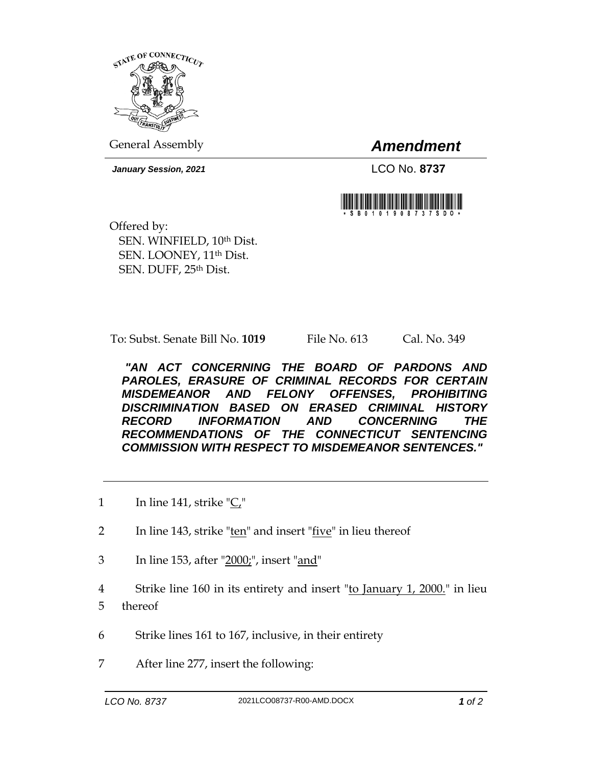

General Assembly *Amendment*

*January Session, 2021* LCO No. **8737**



Offered by: SEN. WINFIELD, 10th Dist. SEN. LOONEY, 11th Dist. SEN. DUFF, 25th Dist.

To: Subst. Senate Bill No. **1019** File No. 613 Cal. No. 349

*"AN ACT CONCERNING THE BOARD OF PARDONS AND PAROLES, ERASURE OF CRIMINAL RECORDS FOR CERTAIN MISDEMEANOR AND FELONY OFFENSES, PROHIBITING DISCRIMINATION BASED ON ERASED CRIMINAL HISTORY RECORD INFORMATION AND CONCERNING THE RECOMMENDATIONS OF THE CONNECTICUT SENTENCING COMMISSION WITH RESPECT TO MISDEMEANOR SENTENCES."* 

- 1 In line 141, strike "C,"
- 2 In line 143, strike " $ten$ " and insert " $five$ " in lieu thereof
- 3 In line 153, after "2000;", insert "and"
- 4 Strike line 160 in its entirety and insert "to January 1, 2000." in lieu 5 thereof
- 6 Strike lines 161 to 167, inclusive, in their entirety
- 7 After line 277, insert the following: